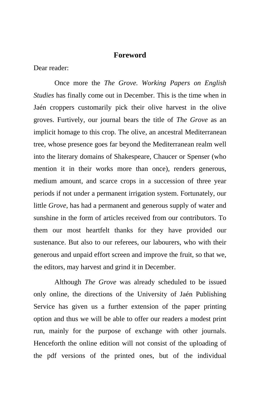## **Foreword**

Dear reader:

Once more the *The Grove. Working Papers on English Studies* has finally come out in December. This is the time when in Jaén croppers customarily pick their olive harvest in the olive groves. Furtively, our journal bears the title of *The Grove* as an implicit homage to this crop. The olive, an ancestral Mediterranean tree, whose presence goes far beyond the Mediterranean realm well into the literary domains of Shakespeare, Chaucer or Spenser (who mention it in their works more than once), renders generous, medium amount, and scarce crops in a succession of three year periods if not under a permanent irrigation system. Fortunately, our little *Grove*, has had a permanent and generous supply of water and sunshine in the form of articles received from our contributors. To them our most heartfelt thanks for they have provided our sustenance. But also to our referees, our labourers, who with their generous and unpaid effort screen and improve the fruit, so that we, the editors, may harvest and grind it in December.

Although *The Grove* was already scheduled to be issued only online, the directions of the University of Jaén Publishing Service has given us a further extension of the paper printing option and thus we will be able to offer our readers a modest print run, mainly for the purpose of exchange with other journals. Henceforth the online edition will not consist of the uploading of the pdf versions of the printed ones, but of the individual